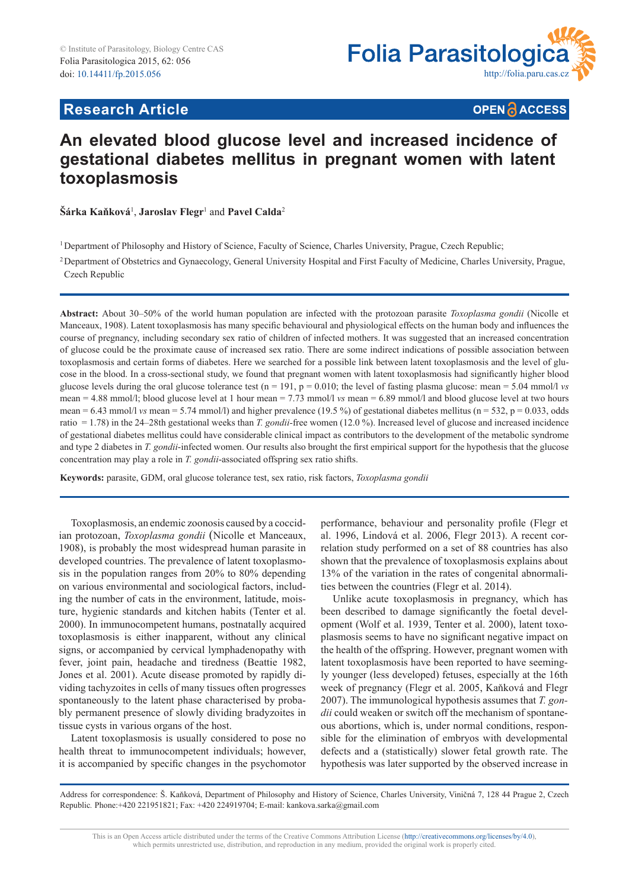

# **Research Article**

**OPEN A ACCESS** 

# **An elevated blood glucose level and increased incidence of gestational diabetes mellitus in pregnant women with latent toxoplasmosis**

 $\check{\mathbf{S}}$ árka Kaňková<sup>1</sup>, Jaroslav Flegr<sup>1</sup> and Pavel Calda<sup>2</sup>

<sup>1</sup>Department of Philosophy and History of Science, Faculty of Science, Charles University, Prague, Czech Republic;

<sup>2</sup> Department of Obstetrics and Gynaecology, General University Hospital and First Faculty of Medicine, Charles University, Prague, Czech Republic

**Abstract:** About 30–50% of the world human population are infected with the protozoan parasite *Toxoplasma gondii* (Nicolle et Manceaux, 1908). Latent toxoplasmosis has many specific behavioural and physiological effects on the human body and influences the course of pregnancy, including secondary sex ratio of children of infected mothers. It was suggested that an increased concentration of glucose could be the proximate cause of increased sex ratio. There are some indirect indications of possible association between toxoplasmosis and certain forms of diabetes. Here we searched for a possible link between latent toxoplasmosis and the level of glucose in the blood. In a cross-sectional study, we found that pregnant women with latent toxoplasmosis had significantly higher blood glucose levels during the oral glucose tolerance test  $(n = 191, p = 0.010)$ ; the level of fasting plasma glucose: mean = 5.04 mmol/l *vs* mean = 4.88 mmol/l; blood glucose level at 1 hour mean = 7.73 mmol/l *vs* mean = 6.89 mmol/l and blood glucose level at two hours mean = 6.43 mmol/l *vs* mean = 5.74 mmol/l) and higher prevalence (19.5 %) of gestational diabetes mellitus (n = 532, p = 0.033, odds ratio = 1.78) in the 24–28th gestational weeks than *T. gondii-*free women (12.0 %). Increased level of glucose and increased incidence of gestational diabetes mellitus could have considerable clinical impact as contributors to the development of the metabolic syndrome and type 2 diabetes in *T. gondii*-infected women. Our results also brought the first empirical support for the hypothesis that the glucose concentration may play a role in *T. gondii*-associated offspring sex ratio shifts.

**Keywords:** parasite, GDM, oral glucose tolerance test, sex ratio, risk factors, *Toxoplasma gondii*

Toxoplasmosis, an endemic zoonosis caused by a coccidian protozoan, *Toxoplasma gondii* (Nicolle et Manceaux, 1908), is probably the most widespread human parasite in developed countries. The prevalence of latent toxoplasmosis in the population ranges from 20% to 80% depending on various environmental and sociological factors, including the number of cats in the environment, latitude, moisture, hygienic standards and kitchen habits (Tenter et al. 2000). In immunocompetent humans, postnatally acquired toxoplasmosis is either inapparent, without any clinical signs, or accompanied by cervical lymphadenopathy with fever, joint pain, headache and tiredness (Beattie 1982, Jones et al. 2001). Acute disease promoted by rapidly dividing tachyzoites in cells of many tissues often progresses spontaneously to the latent phase characterised by probably permanent presence of slowly dividing bradyzoites in tissue cysts in various organs of the host.

Latent toxoplasmosis is usually considered to pose no health threat to immunocompetent individuals; however, it is accompanied by specific changes in the psychomotor performance, behaviour and personality profile (Flegr et al. 1996, Lindová et al. 2006, Flegr 2013). A recent correlation study performed on a set of 88 countries has also shown that the prevalence of toxoplasmosis explains about 13% of the variation in the rates of congenital abnormalities between the countries (Flegr et al. 2014).

Unlike acute toxoplasmosis in pregnancy, which has been described to damage significantly the foetal development (Wolf et al. 1939, Tenter et al. 2000), latent toxoplasmosis seems to have no significant negative impact on the health of the offspring. However, pregnant women with latent toxoplasmosis have been reported to have seemingly younger (less developed) fetuses, especially at the 16th week of pregnancy (Flegr et al. 2005, Kaňková and Flegr 2007). The immunological hypothesis assumes that *T. gondii* could weaken or switch off the mechanism of spontaneous abortions, which is, under normal conditions, responsible for the elimination of embryos with developmental defects and a (statistically) slower fetal growth rate. The hypothesis was later supported by the observed increase in

Address for correspondence: Š. Kaňková, Department of Philosophy and History of Science, Charles University, Viničná 7, 128 44 Prague 2, Czech Republic*.* Phone:+420 221951821; Fax: +420 224919704; E-mail: kankova.sarka@gmail.com

This is an Open Access article distributed under the terms of the Creative Commons Attribution License (http://creativecommons.org/licenses/by/4.0), which permits unrestricted use, distribution, and reproduction in any medium, provided the original work is properly cited.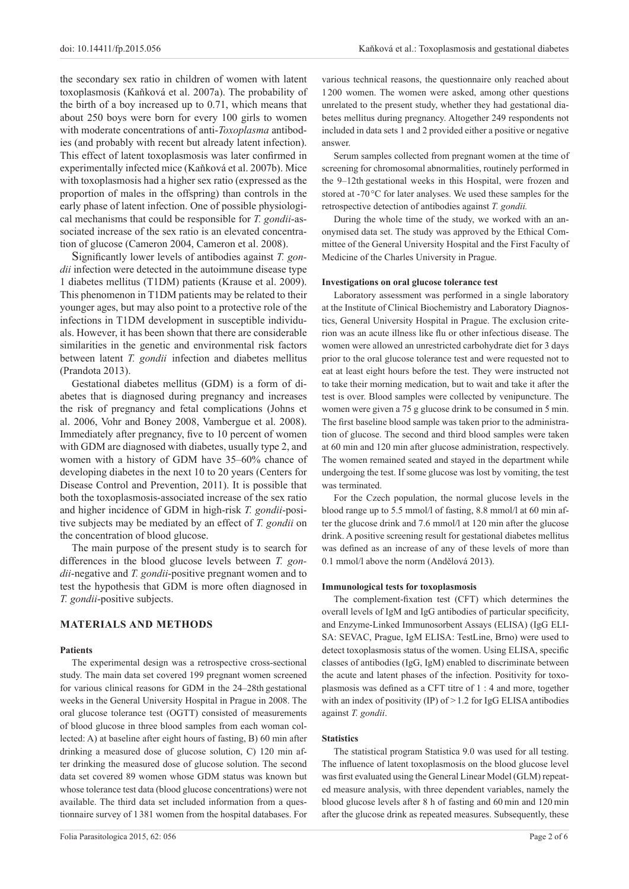the secondary sex ratio in children of women with latent toxoplasmosis (Kaňková et al. 2007a). The probability of the birth of a boy increased up to 0.71, which means that about 250 boys were born for every 100 girls to women with moderate concentrations of anti-*Toxoplasma* antibodies (and probably with recent but already latent infection). This effect of latent toxoplasmosis was later confirmed in experimentally infected mice (Kaňková et al. 2007b). Mice with toxoplasmosis had a higher sex ratio (expressed as the proportion of males in the offspring) than controls in the early phase of latent infection. One of possible physiological mechanisms that could be responsible for *T. gondii*-associated increase of the sex ratio is an elevated concentration of glucose (Cameron 2004, Cameron et al. 2008).

Significantly lower levels of antibodies against *T. gondii* infection were detected in the autoimmune disease type 1 diabetes mellitus (T1DM) patients (Krause et al. 2009). This phenomenon in T1DM patients may be related to their younger ages, but may also point to a protective role of the infections in T1DM development in susceptible individuals. However, it has been shown that there are considerable similarities in the genetic and environmental risk factors between latent *T. gondii* infection and diabetes mellitus (Prandota 2013).

Gestational diabetes mellitus (GDM) is a form of diabetes that is diagnosed during pregnancy and increases the risk of pregnancy and fetal complications (Johns et al. 2006, Vohr and Boney 2008, Vambergue et al. 2008). Immediately after pregnancy, five to 10 percent of women with GDM are diagnosed with diabetes, usually type 2, and women with a history of GDM have 35–60% chance of developing diabetes in the next 10 to 20 years (Centers for Disease Control and Prevention, 2011). It is possible that both the toxoplasmosis-associated increase of the sex ratio and higher incidence of GDM in high-risk *T. gondii*-positive subjects may be mediated by an effect of *T. gondii* on the concentration of blood glucose.

The main purpose of the present study is to search for differences in the blood glucose levels between *T. gondii*-negative and *T. gondii*-positive pregnant women and to test the hypothesis that GDM is more often diagnosed in *T. gondii*-positive subjects.

# **MATERIALS AND METHODS**

#### **Patients**

The experimental design was a retrospective cross-sectional study. The main data set covered 199 pregnant women screened for various clinical reasons for GDM in the 24–28th gestational weeks in the General University Hospital in Prague in 2008. The oral glucose tolerance test (OGTT) consisted of measurements of blood glucose in three blood samples from each woman collected: A) at baseline after eight hours of fasting, B) 60 min after drinking a measured dose of glucose solution, C) 120 min after drinking the measured dose of glucose solution. The second data set covered 89 women whose GDM status was known but whose tolerance test data (blood glucose concentrations) were not available. The third data set included information from a questionnaire survey of 1 381 women from the hospital databases. For various technical reasons, the questionnaire only reached about 1200 women. The women were asked, among other questions unrelated to the present study, whether they had gestational diabetes mellitus during pregnancy. Altogether 249 respondents not included in data sets 1 and 2 provided either a positive or negative answer.

Serum samples collected from pregnant women at the time of screening for chromosomal abnormalities, routinely performed in the 9–12th gestational weeks in this Hospital, were frozen and stored at -70 °C for later analyses. We used these samples for the retrospective detection of antibodies against *T. gondii.*

During the whole time of the study, we worked with an anonymised data set. The study was approved by the Ethical Committee of the General University Hospital and the First Faculty of Medicine of the Charles University in Prague.

#### **Investigations on oral glucose tolerance test**

Laboratory assessment was performed in a single laboratory at the Institute of Clinical Biochemistry and Laboratory Diagnostics, General University Hospital in Prague. The exclusion criterion was an acute illness like flu or other infectious disease. The women were allowed an unrestricted carbohydrate diet for 3 days prior to the oral glucose tolerance test and were requested not to eat at least eight hours before the test. They were instructed not to take their morning medication, but to wait and take it after the test is over. Blood samples were collected by venipuncture. The women were given a 75 g glucose drink to be consumed in 5 min. The first baseline blood sample was taken prior to the administration of glucose. The second and third blood samples were taken at 60 min and 120 min after glucose administration, respectively. The women remained seated and stayed in the department while undergoing the test. If some glucose was lost by vomiting, the test was terminated.

For the Czech population, the normal glucose levels in the blood range up to 5.5 mmol/l of fasting, 8.8 mmol/l at 60 min after the glucose drink and 7.6 mmol/l at 120 min after the glucose drink. A positive screening result for gestational diabetes mellitus was defined as an increase of any of these levels of more than 0.1 mmol/l above the norm (Andělová 2013).

#### **Immunological tests for toxoplasmosis**

The complement-fixation test (CFT) which determines the overall levels of IgM and IgG antibodies of particular specificity, and Enzyme-Linked Immunosorbent Assays (ELISA) (IgG ELI-SA: SEVAC, Prague, IgM ELISA: TestLine, Brno) were used to detect toxoplasmosis status of the women. Using ELISA, specific classes of antibodies (IgG, IgM) enabled to discriminate between the acute and latent phases of the infection. Positivity for toxoplasmosis was defined as a CFT titre of 1 : 4 and more, together with an index of positivity (IP) of  $>1.2$  for IgG ELISA antibodies against *T. gondii*.

# **Statistics**

The statistical program Statistica 9.0 was used for all testing. The influence of latent toxoplasmosis on the blood glucose level was first evaluated using the General Linear Model (GLM) repeated measure analysis, with three dependent variables, namely the blood glucose levels after 8 h of fasting and 60 min and 120 min after the glucose drink as repeated measures. Subsequently, these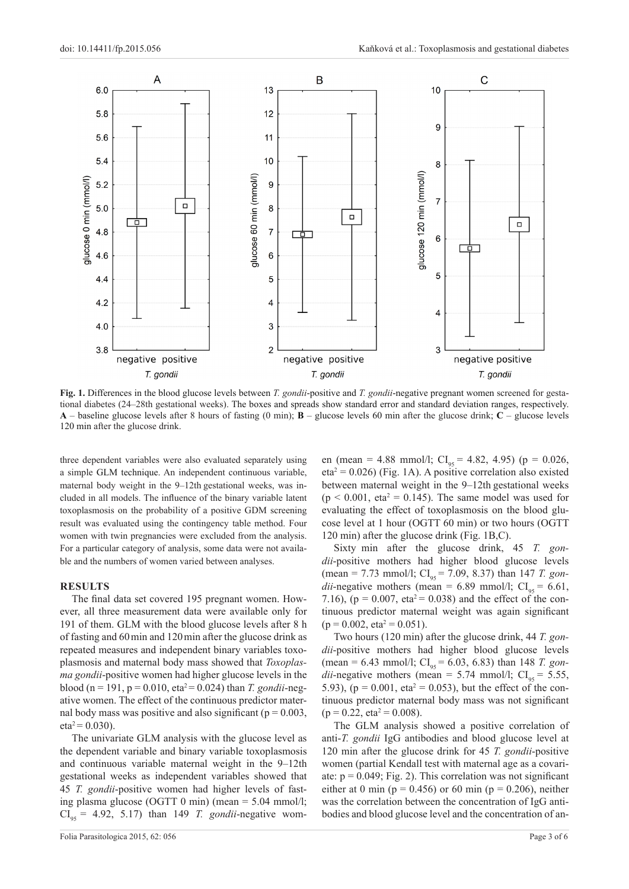

**Fig. 1.** Differences in the blood glucose levels between *T. gondii*-positive and *T. gondii*-negative pregnant women screened for gestational diabetes (24–28th gestational weeks). The boxes and spreads show standard error and standard deviation ranges, respectively. **A** – baseline glucose levels after 8 hours of fasting (0 min); **B** – glucose levels 60 min after the glucose drink; **C** – glucose levels 120 min after the glucose drink.

three dependent variables were also evaluated separately using a simple GLM technique. An independent continuous variable, maternal body weight in the 9–12th gestational weeks, was included in all models. The influence of the binary variable latent toxoplasmosis on the probability of a positive GDM screening result was evaluated using the contingency table method. Four women with twin pregnancies were excluded from the analysis. For a particular category of analysis, some data were not available and the numbers of women varied between analyses.

# **RESULTS**

The final data set covered 195 pregnant women. However, all three measurement data were available only for 191 of them. GLM with the blood glucose levels after 8 h of fasting and 60min and 120min after the glucose drink as repeated measures and independent binary variables toxoplasmosis and maternal body mass showed that *Toxoplasma gondii*-positive women had higher glucose levels in the blood (n = 191, p = 0.010, eta<sup>2</sup> = 0.024) than *T. gondii*-negative women. The effect of the continuous predictor maternal body mass was positive and also significant ( $p = 0.003$ ,  $eta^2 = 0.030$ .

The univariate GLM analysis with the glucose level as the dependent variable and binary variable toxoplasmosis and continuous variable maternal weight in the 9–12th gestational weeks as independent variables showed that 45 *T. gondii*-positive women had higher levels of fasting plasma glucose (OGTT 0 min) (mean = 5.04 mmol/l;  $CI_{0.5}$  = 4.92, 5.17) than 149 *T. gondii*-negative wom-

Folia Parasitologica 2015, 62: 056 Page 3 of 6

en (mean = 4.88 mmol/l;  $CI_{05} = 4.82, 4.95$ ) (p = 0.026,  $eta^2 = 0.026$ ) (Fig. 1A). A positive correlation also existed between maternal weight in the 9–12th gestational weeks  $(p < 0.001$ , eta<sup>2</sup> = 0.145). The same model was used for evaluating the effect of toxoplasmosis on the blood glucose level at 1 hour (OGTT 60 min) or two hours (OGTT 120 min) after the glucose drink (Fig. 1B,C).

Sixty min after the glucose drink, 45 *T. gondii*-positive mothers had higher blood glucose levels  $(\text{mean} = 7.73 \text{ mmol/l}; \text{CI}_{95} = 7.09, 8.37) \text{ than } 147 \text{ T. } \text{gon-}$ *dii*-negative mothers (mean = 6.89 mmol/l;  $CI_{0.5} = 6.61$ , 7.16), ( $p = 0.007$ , eta<sup>2</sup> = 0.038) and the effect of the continuous predictor maternal weight was again significant  $(p = 0.002, eta^2 = 0.051).$ 

Two hours (120 min) after the glucose drink, 44 *T. gondii*-positive mothers had higher blood glucose levels  $(\text{mean} = 6.43 \text{ mmol/l}; \text{CI}_{95} = 6.03, 6.83) \text{ than } 148 \text{ T. } \text{gon-}$ *dii*-negative mothers (mean = 5.74 mmol/l;  $CI_{0.5} = 5.55$ , 5.93), ( $p = 0.001$ , eta<sup>2</sup> = 0.053), but the effect of the continuous predictor maternal body mass was not significant  $(p = 0.22, eta^2 = 0.008)$ .

The GLM analysis showed a positive correlation of anti-*T. gondii* IgG antibodies and blood glucose level at 120 min after the glucose drink for 45 *T. gondii*-positive women (partial Kendall test with maternal age as a covariate:  $p = 0.049$ ; Fig. 2). This correlation was not significant either at 0 min ( $p = 0.456$ ) or 60 min ( $p = 0.206$ ), neither was the correlation between the concentration of IgG antibodies and blood glucose level and the concentration of an-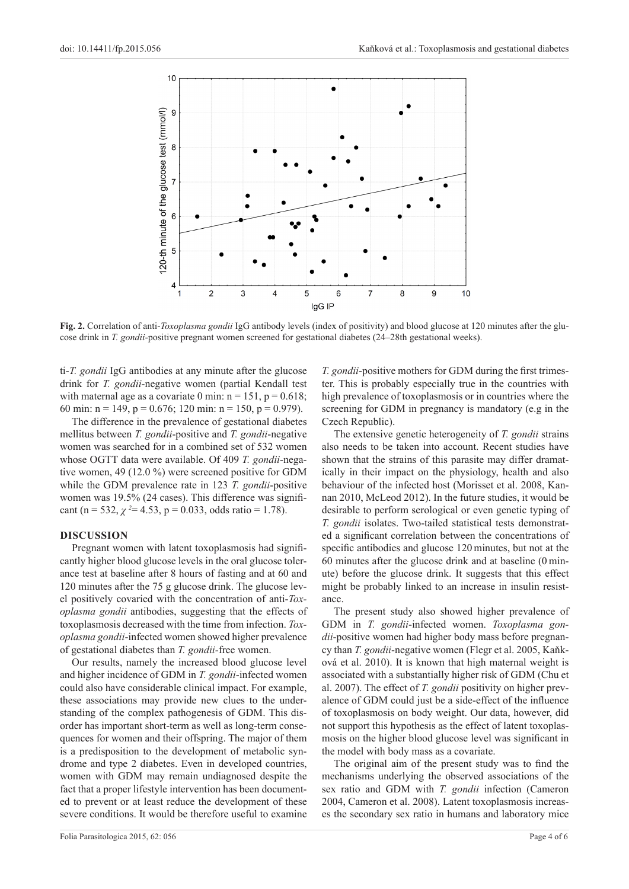

**Fig. 2.** Correlation of anti-*Toxoplasma gondii* IgG antibody levels (index of positivity) and blood glucose at 120 minutes after the glucose drink in *T. gondii*-positive pregnant women screened for gestational diabetes (24–28th gestational weeks).

ti-*T. gondii* IgG antibodies at any minute after the glucose drink for *T. gondii*-negative women (partial Kendall test with maternal age as a covariate 0 min:  $n = 151$ ,  $p = 0.618$ ; 60 min: n = 149, p = 0.676; 120 min: n = 150, p = 0.979).

The difference in the prevalence of gestational diabetes mellitus between *T. gondii*-positive and *T. gondii*-negative women was searched for in a combined set of 532 women whose OGTT data were available. Of 409 *T. gondii*-negative women, 49 (12.0 %) were screened positive for GDM while the GDM prevalence rate in 123 *T. gondii*-positive women was 19.5% (24 cases). This difference was significant (n = 532,  $\chi$ <sup>2</sup> = 4.53, p = 0.033, odds ratio = 1.78).

## **DISCUSSION**

Pregnant women with latent toxoplasmosis had significantly higher blood glucose levels in the oral glucose tolerance test at baseline after 8 hours of fasting and at 60 and 120 minutes after the 75 g glucose drink. The glucose level positively covaried with the concentration of anti-*Toxoplasma gondii* antibodies, suggesting that the effects of toxoplasmosis decreased with the time from infection. *Toxoplasma gondii*-infected women showed higher prevalence of gestational diabetes than *T. gondii-*free women.

Our results, namely the increased blood glucose level and higher incidence of GDM in *T. gondii*-infected women could also have considerable clinical impact. For example, these associations may provide new clues to the understanding of the complex pathogenesis of GDM. This disorder has important short-term as well as long-term consequences for women and their offspring. The major of them is a predisposition to the development of metabolic syndrome and type 2 diabetes. Even in developed countries, women with GDM may remain undiagnosed despite the fact that a proper lifestyle intervention has been documented to prevent or at least reduce the development of these severe conditions. It would be therefore useful to examine

*T. gondii*-positive mothers for GDM during the first trimester. This is probably especially true in the countries with high prevalence of toxoplasmosis or in countries where the screening for GDM in pregnancy is mandatory (e.g in the Czech Republic).

The extensive genetic heterogeneity of *T. gondii* strains also needs to be taken into account. Recent studies have shown that the strains of this parasite may differ dramatically in their impact on the physiology, health and also behaviour of the infected host (Morisset et al. 2008, Kannan 2010, McLeod 2012). In the future studies, it would be desirable to perform serological or even genetic typing of *T. gondii* isolates. Two-tailed statistical tests demonstrated a significant correlation between the concentrations of specific antibodies and glucose 120 minutes, but not at the 60 minutes after the glucose drink and at baseline (0 minute) before the glucose drink. It suggests that this effect might be probably linked to an increase in insulin resistance.

The present study also showed higher prevalence of GDM in *T. gondii*-infected women. *Toxoplasma gondii*-positive women had higher body mass before pregnancy than *T. gondii*-negative women (Flegr et al. 2005, Kaňková et al. 2010). It is known that high maternal weight is associated with a substantially higher risk of GDM (Chu et al. 2007). The effect of *T. gondii* positivity on higher prevalence of GDM could just be a side-effect of the influence of toxoplasmosis on body weight. Our data, however, did not support this hypothesis as the effect of latent toxoplasmosis on the higher blood glucose level was significant in the model with body mass as a covariate.

The original aim of the present study was to find the mechanisms underlying the observed associations of the sex ratio and GDM with *T. gondii* infection (Cameron 2004, Cameron et al. 2008). Latent toxoplasmosis increases the secondary sex ratio in humans and laboratory mice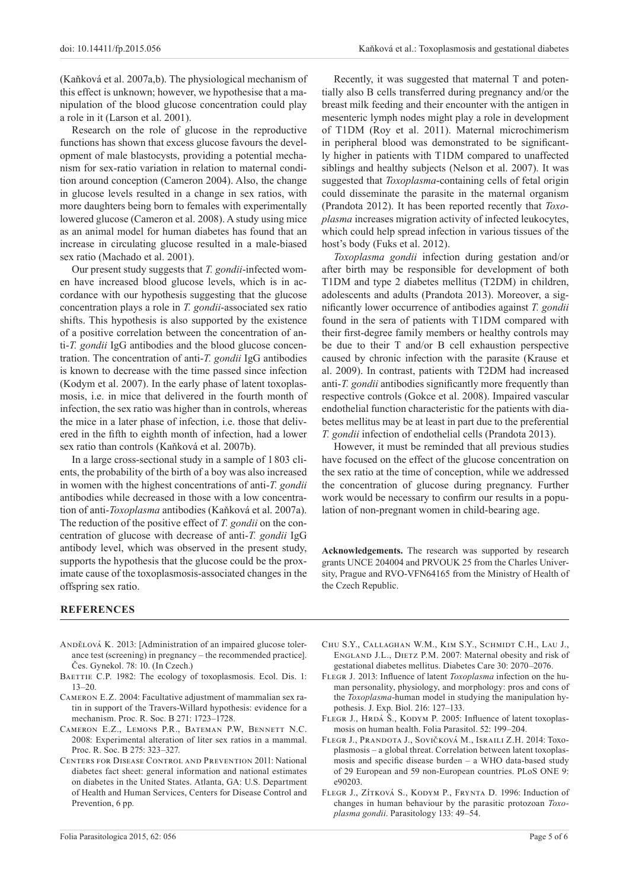(Kaňková et al. 2007a,b). The physiological mechanism of this effect is unknown; however, we hypothesise that a manipulation of the blood glucose concentration could play a role in it (Larson et al. 2001).

Research on the role of glucose in the reproductive functions has shown that excess glucose favours the development of male blastocysts, providing a potential mechanism for sex-ratio variation in relation to maternal condition around conception (Cameron 2004). Also, the change in glucose levels resulted in a change in sex ratios, with more daughters being born to females with experimentally lowered glucose (Cameron et al. 2008). A study using mice as an animal model for human diabetes has found that an increase in circulating glucose resulted in a male-biased sex ratio (Machado et al. 2001).

Our present study suggests that *T. gondii*-infected women have increased blood glucose levels, which is in accordance with our hypothesis suggesting that the glucose concentration plays a role in *T. gondii*-associated sex ratio shifts. This hypothesis is also supported by the existence of a positive correlation between the concentration of anti-*T. gondii* IgG antibodies and the blood glucose concentration. The concentration of anti-*T. gondii* IgG antibodies is known to decrease with the time passed since infection (Kodym et al. 2007). In the early phase of latent toxoplasmosis, i.e. in mice that delivered in the fourth month of infection, the sex ratio was higher than in controls, whereas the mice in a later phase of infection, i.e. those that delivered in the fifth to eighth month of infection, had a lower sex ratio than controls (Kaňková et al. 2007b).

In a large cross-sectional study in a sample of 1803 clients, the probability of the birth of a boy was also increased in women with the highest concentrations of anti-*T. gondii* antibodies while decreased in those with a low concentration of anti-*Toxoplasma* antibodies (Kaňková et al. 2007a). The reduction of the positive effect of *T. gondii* on the concentration of glucose with decrease of anti-*T. gondii* IgG antibody level, which was observed in the present study, supports the hypothesis that the glucose could be the proximate cause of the toxoplasmosis-associated changes in the offspring sex ratio.

Recently, it was suggested that maternal T and potentially also B cells transferred during pregnancy and/or the breast milk feeding and their encounter with the antigen in mesenteric lymph nodes might play a role in development of T1DM (Roy et al. 2011). Maternal microchimerism in peripheral blood was demonstrated to be significantly higher in patients with T1DM compared to unaffected siblings and healthy subjects (Nelson et al. 2007). It was suggested that *Toxoplasma*-containing cells of fetal origin could disseminate the parasite in the maternal organism (Prandota 2012). It has been reported recently that *Toxoplasma* increases migration activity of infected leukocytes, which could help spread infection in various tissues of the host's body (Fuks et al. 2012).

*Toxoplasma gondii* infection during gestation and/or after birth may be responsible for development of both T1DM and type 2 diabetes mellitus (T2DM) in children, adolescents and adults (Prandota 2013). Moreover, a significantly lower occurrence of antibodies against *T. gondii*  found in the sera of patients with T1DM compared with their first-degree family members or healthy controls may be due to their T and/or B cell exhaustion perspective caused by chronic infection with the parasite (Krause et al. 2009). In contrast, patients with T2DM had increased anti-*T. gondii* antibodies significantly more frequently than respective controls (Gokce et al. 2008). Impaired vascular endothelial function characteristic for the patients with diabetes mellitus may be at least in part due to the preferential *T. gondii* infection of endothelial cells (Prandota 2013).

However, it must be reminded that all previous studies have focused on the effect of the glucose concentration on the sex ratio at the time of conception, while we addressed the concentration of glucose during pregnancy. Further work would be necessary to confirm our results in a population of non-pregnant women in child-bearing age.

**Acknowledgements.** The research was supported by research grants UNCE 204004 and PRVOUK 25 from the Charles University, Prague and RVO-VFN64165 from the Ministry of Health of the Czech Republic.

Chu S.Y., Callaghan W.M., Kim S.Y., Schmidt C.H., Lau J., England J.L., Dietz P.M. 2007: Maternal obesity and risk of gestational diabetes mellitus. Diabetes Care 30: 2070–2076. Flegr J. 2013: Influence of latent *Toxoplasma* infection on the hu-

# **REFERENCES**

- Andělová K. 2013: [Administration of an impaired glucose tolerance test (screening) in pregnancy – the recommended practice]. Čes. Gynekol. 78: 10. (In Czech.)
- BAETTIE C.P. 1982: The ecology of toxoplasmosis. Ecol. Dis. 1: 13–20.
- Cameron E.Z. 2004: Facultative adjustment of mammalian sex ratin in support of the Travers-Willard hypothesis: evidence for a mechanism. Proc. R. Soc. B 271: 1723–1728.
- Cameron E.Z., Lemons P.R., Bateman P.W, Bennett N.C. 2008: Experimental alteration of liter sex ratios in a mammal. Proc. R. Soc. B 275: 323–327.
- Centers for Disease Control and Prevention 2011: National diabetes fact sheet: general information and national estimates on diabetes in the United States. Atlanta, GA: U.S. Department of Health and Human Services, Centers for Disease Control and Prevention, 6 pp.
- man personality, physiology, and morphology: pros and cons of the *Toxoplasma*-human model in studying the manipulation hypothesis. J. Exp. Biol. 216: 127–133.
	- FLEGR J., HRDÁ Š., KODYM P. 2005: Influence of latent toxoplasmosis on human health. Folia Parasitol. 52: 199–204.
	- Flegr J., Prandota J., Sovičková M., Israili Z.H. 2014: Toxoplasmosis – a global threat. Correlation between latent toxoplasmosis and specific disease burden – a WHO data-based study of 29 European and 59 non-European countries. PLoS ONE 9: e90203.
	- FLEGR J., ZÍTKOVÁ S., KODYM P., FRYNTA D. 1996: Induction of changes in human behaviour by the parasitic protozoan *Toxoplasma gondii*. Parasitology 133: 49–54.